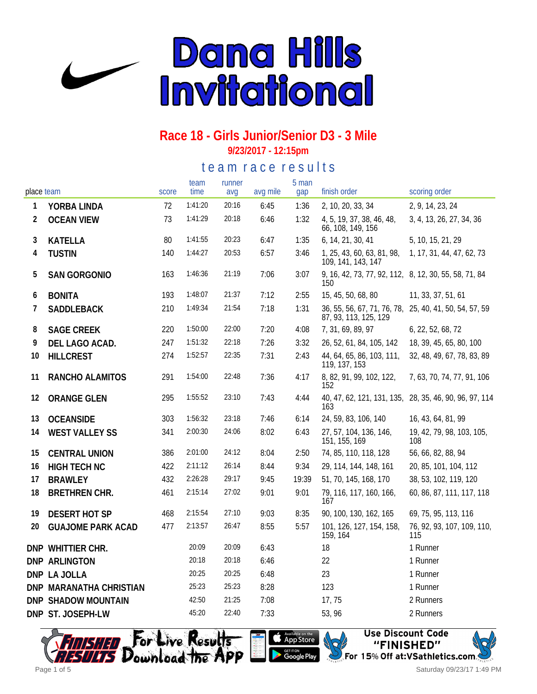

# **Race 18 - Girls Junior/Senior D3 - 3 Mile**

**9/23/2017 - 12:15pm**

te a m r a c e r e s ults

| place team |                            | score | team<br>time | runner<br>avg | avg mile | 5 man<br>gap | finish order                                                                    | scoring order                                          |
|------------|----------------------------|-------|--------------|---------------|----------|--------------|---------------------------------------------------------------------------------|--------------------------------------------------------|
| 1          | YORBA LINDA                | 72    | 1:41:20      | 20:16         | 6:45     | 1:36         | 2, 10, 20, 33, 34                                                               | 2, 9, 14, 23, 24                                       |
| 2          | <b>OCEAN VIEW</b>          | 73    | 1:41:29      | 20:18         | 6:46     | 1:32         | 4, 5, 19, 37, 38, 46, 48,<br>66, 108, 149, 156                                  | 3, 4, 13, 26, 27, 34, 36                               |
| 3          | <b>KATELLA</b>             | 80    | 1:41:55      | 20:23         | 6:47     | 1:35         | 6, 14, 21, 30, 41                                                               | 5, 10, 15, 21, 29                                      |
| 4          | <b>TUSTIN</b>              | 140   | 1:44:27      | 20:53         | 6:57     | 3:46         | 1, 25, 43, 60, 63, 81, 98,<br>109, 141, 143, 147                                | 1, 17, 31, 44, 47, 62, 73                              |
| 5          | <b>SAN GORGONIO</b>        | 163   | 1:46:36      | 21:19         | 7:06     | 3:07         | 9, 16, 42, 73, 77, 92, 112, 8, 12, 30, 55, 58, 71, 84<br>150                    |                                                        |
| 6          | <b>BONITA</b>              | 193   | 1:48:07      | 21:37         | 7:12     | 2:55         | 15, 45, 50, 68, 80                                                              | 11, 33, 37, 51, 61                                     |
| 7          | SADDLEBACK                 | 210   | 1:49:34      | 21:54         | 7:18     | 1:31         | 36, 55, 56, 67, 71, 76, 78, 25, 40, 41, 50, 54, 57, 59<br>87, 93, 113, 125, 129 |                                                        |
| 8          | <b>SAGE CREEK</b>          | 220   | 1:50:00      | 22:00         | 7:20     | 4:08         | 7, 31, 69, 89, 97                                                               | 6, 22, 52, 68, 72                                      |
| 9          | DEL LAGO ACAD.             | 247   | 1:51:32      | 22:18         | 7:26     | 3:32         | 26, 52, 61, 84, 105, 142                                                        | 18, 39, 45, 65, 80, 100                                |
| 10         | <b>HILLCREST</b>           | 274   | 1:52:57      | 22:35         | 7:31     | 2:43         | 44, 64, 65, 86, 103, 111,<br>119, 137, 153                                      | 32, 48, 49, 67, 78, 83, 89                             |
| 11         | RANCHO ALAMITOS            | 291   | 1:54:00      | 22:48         | 7:36     | 4:17         | 8, 82, 91, 99, 102, 122,<br>152                                                 | 7, 63, 70, 74, 77, 91, 106                             |
| 12         | <b>ORANGE GLEN</b>         | 295   | 1:55:52      | 23:10         | 7:43     | 4:44         | 163                                                                             | 40, 47, 62, 121, 131, 135, 28, 35, 46, 90, 96, 97, 114 |
| 13         | <b>OCEANSIDE</b>           | 303   | 1:56:32      | 23:18         | 7:46     | 6:14         | 24, 59, 83, 106, 140                                                            | 16, 43, 64, 81, 99                                     |
| 14         | <b>WEST VALLEY SS</b>      | 341   | 2:00:30      | 24:06         | 8:02     | 6:43         | 27, 57, 104, 136, 146,<br>151, 155, 169                                         | 19, 42, 79, 98, 103, 105,<br>108                       |
| 15         | <b>CENTRAL UNION</b>       | 386   | 2:01:00      | 24:12         | 8:04     | 2:50         | 74, 85, 110, 118, 128                                                           | 56, 66, 82, 88, 94                                     |
| 16         | <b>HIGH TECH NC</b>        | 422   | 2:11:12      | 26:14         | 8:44     | 9:34         | 29, 114, 144, 148, 161                                                          | 20, 85, 101, 104, 112                                  |
| 17         | <b>BRAWLEY</b>             | 432   | 2:26:28      | 29:17         | 9:45     | 19:39        | 51, 70, 145, 168, 170                                                           | 38, 53, 102, 119, 120                                  |
| 18         | <b>BRETHREN CHR.</b>       | 461   | 2:15:14      | 27:02         | 9:01     | 9:01         | 79, 116, 117, 160, 166,<br>167                                                  | 60, 86, 87, 111, 117, 118                              |
| 19         | <b>DESERT HOT SP</b>       | 468   | 2:15:54      | 27:10         | 9:03     | 8:35         | 90, 100, 130, 162, 165                                                          | 69, 75, 95, 113, 116                                   |
| 20         | <b>GUAJOME PARK ACAD</b>   | 477   | 2:13:57      | 26:47         | 8:55     | 5:57         | 101, 126, 127, 154, 158,<br>159, 164                                            | 76, 92, 93, 107, 109, 110,<br>115                      |
|            | DNP WHITTIER CHR.          |       | 20:09        | 20:09         | 6:43     |              | 18                                                                              | 1 Runner                                               |
|            | <b>DNP ARLINGTON</b>       |       | 20:18        | 20:18         | 6:46     |              | 22                                                                              | 1 Runner                                               |
|            | DNP LA JOLLA               |       | 20:25        | 20:25         | 6:48     |              | 23                                                                              | 1 Runner                                               |
|            | DNP MARANATHA CHRISTIAN    |       | 25:23        | 25:23         | 8:28     |              | 123                                                                             | 1 Runner                                               |
|            | <b>DNP SHADOW MOUNTAIN</b> |       | 42:50        | 21:25         | 7:08     |              | 17,75                                                                           | 2 Runners                                              |
|            | DNP ST. JOSEPH-LW          |       | 45:20        | 22:40         | 7:33     |              | 53, 96                                                                          | 2 Runners                                              |







Saturday 09/23/17 1:49 PM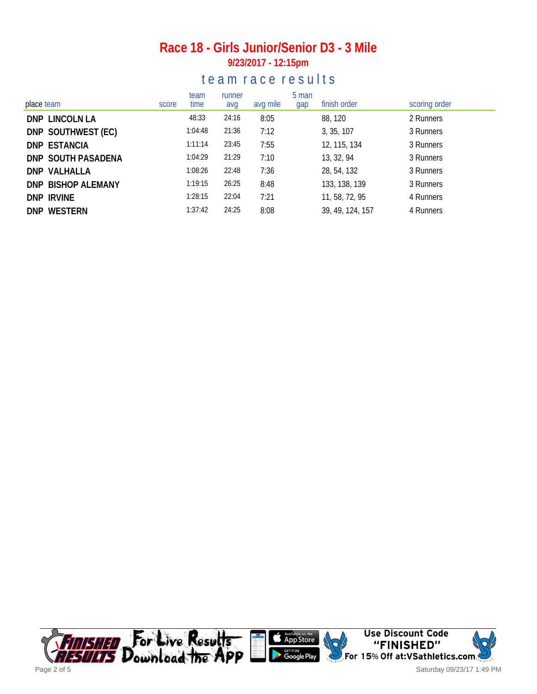#### **Race 18 - Girls Junior/Senior D3 - 3 Mile 9/23/2017 - 12:15pm**

#### te am race results

| place team          | score | team<br>time | runner<br>avg | avg mile | 5 man<br>gap | finish order     | scoring order |
|---------------------|-------|--------------|---------------|----------|--------------|------------------|---------------|
| DNP LINCOLN LA      |       | 48:33        | 24:16         | 8:05     |              | 88, 120          | 2 Runners     |
| DNP SOUTHWEST (EC)  |       | 1:04:48      | 21:36         | 7:12     |              | 3, 35, 107       | 3 Runners     |
| <b>DNP ESTANCIA</b> |       | 1:11:14      | 23:45         | 7:55     |              | 12, 115, 134     | 3 Runners     |
| DNP SOUTH PASADENA  |       | 1:04:29      | 21:29         | 7:10     |              | 13, 32, 94       | 3 Runners     |
| DNP VALHALLA        |       | 1:08:26      | 22:48         | 7:36     |              | 28, 54, 132      | 3 Runners     |
| DNP BISHOP ALEMANY  |       | 1:19:15      | 26:25         | 8:48     |              | 133, 138, 139    | 3 Runners     |
| DNP IRVINE          |       | 1:28:15      | 22:04         | 7:21     |              | 11, 58, 72, 95   | 4 Runners     |
| DNP WESTERN         |       | 1:37:42      | 24:25         | 8:08     |              | 39, 49, 124, 157 | 4 Runners     |

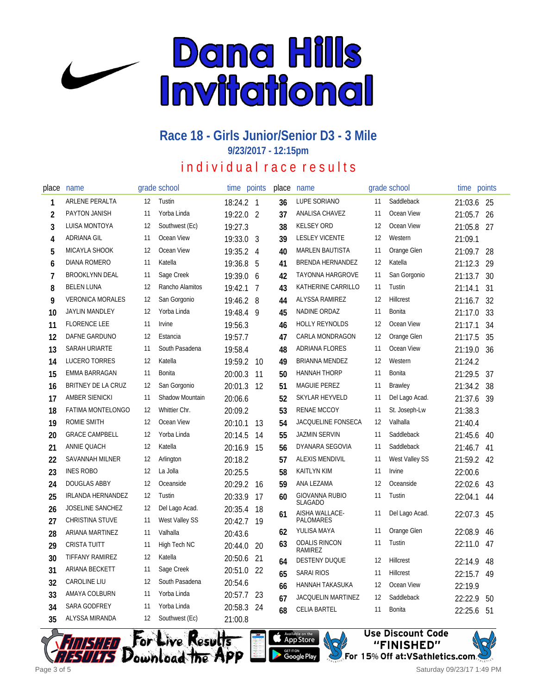

# **Race 18 - Girls Junior/Senior D3 - 3 Mile**

**9/23/2017 - 12:15pm**

## individual race results

| place          | name                     |    | grade school    | time      | points         | place | name                                   |    | grade school   | time    | points |
|----------------|--------------------------|----|-----------------|-----------|----------------|-------|----------------------------------------|----|----------------|---------|--------|
| 1              | ARLENE PERALTA           | 12 | Tustin          | 18:24.2 1 |                | 36    | <b>LUPE SORIANO</b>                    | 11 | Saddleback     | 21:03.6 | - 25   |
| 2              | PAYTON JANISH            | 11 | Yorba Linda     | 19:22.0 2 |                | 37    | ANALISA CHAVEZ                         | 11 | Ocean View     | 21:05.7 | 26     |
| 3              | LUISA MONTOYA            | 12 | Southwest (Ec)  | 19:27.3   |                | 38    | <b>KELSEY ORD</b>                      | 12 | Ocean View     | 21:05.8 | 27     |
| 4              | <b>ADRIANA GIL</b>       | 11 | Ocean View      | 19:33.0 3 |                | 39    | <b>LESLEY VICENTE</b>                  | 12 | Western        | 21:09.1 |        |
| 5              | <b>MICAYLA SHOOK</b>     | 12 | Ocean View      | 19:35.2 4 |                | 40    | <b>MARLEN BAUTISTA</b>                 | 11 | Orange Glen    | 21:09.7 | 28     |
| 6              | <b>DIANA ROMERO</b>      | 11 | Katella         | 19:36.8   | 5              | 41    | <b>BRENDA HERNANDEZ</b>                | 12 | Katella        | 21:12.3 | 29     |
| $\overline{1}$ | <b>BROOKLYNN DEAL</b>    | 11 | Sage Creek      | 19:39.0 6 |                | 42    | TAYONNA HARGROVE                       | 11 | San Gorgonio   | 21:13.7 | 30     |
| 8              | <b>BELEN LUNA</b>        | 12 | Rancho Alamitos | 19:42.1   | $\overline{7}$ | 43    | KATHERINE CARRILLO                     | 11 | Tustin         | 21:14.1 | 31     |
| 9              | <b>VERONICA MORALES</b>  | 12 | San Gorgonio    | 19:46.2   | 8              | 44    | ALYSSA RAMIREZ                         | 12 | Hillcrest      | 21:16.7 | 32     |
| 10             | <b>JAYLIN MANDLEY</b>    | 12 | Yorba Linda     | 19:48.4   | 9              | 45    | NADINE ORDAZ                           | 11 | <b>Bonita</b>  | 21:17.0 | 33     |
| 11             | <b>FLORENCE LEE</b>      | 11 | Irvine          | 19:56.3   |                | 46    | <b>HOLLY REYNOLDS</b>                  | 12 | Ocean View     | 21:17.1 | 34     |
| 12             | DAFNE GARDUNO            | 12 | Estancia        | 19:57.7   |                | 47    | CARLA MONDRAGON                        | 12 | Orange Glen    | 21:17.5 | 35     |
| 13             | SARAH URIARTE            | 11 | South Pasadena  | 19:58.4   |                | 48    | ADRIANA FLORES                         | 11 | Ocean View     | 21:19.0 | 36     |
| 14             | LUCERO TORRES            | 12 | Katella         | 19:59.2   | 10             | 49    | <b>BRIANNA MENDEZ</b>                  | 12 | Western        | 21:24.2 |        |
| 15             | EMMA BARRAGAN            | 11 | <b>Bonita</b>   | 20:00.3   | 11             | 50    | <b>HANNAH THORP</b>                    | 11 | Bonita         | 21:29.5 | 37     |
| 16             | BRITNEY DE LA CRUZ       | 12 | San Gorgonio    | 20:01.3   | 12             | 51    | <b>MAGUIE PEREZ</b>                    | 11 | <b>Brawley</b> | 21:34.2 | 38     |
| 17             | <b>AMBER SIENICKI</b>    | 11 | Shadow Mountain | 20:06.6   |                | 52    | SKYLAR HEYVELD                         | 11 | Del Lago Acad. | 21:37.6 | 39     |
| 18             | <b>FATIMA MONTELONGO</b> | 12 | Whittier Chr.   | 20:09.2   |                | 53    | <b>RENAE MCCOY</b>                     | 11 | St. Joseph-Lw  | 21:38.3 |        |
| 19             | ROMIE SMITH              | 12 | Ocean View      | 20:10.1   | 13             | 54    | JACQUELINE FONSECA                     | 12 | Valhalla       | 21:40.4 |        |
| 20             | <b>GRACE CAMPBELL</b>    | 12 | Yorba Linda     | 20:14.5   | 14             | 55    | <b>JAZMIN SERVIN</b>                   | 11 | Saddleback     | 21:45.6 | 40     |
| 21             | <b>ANNIE QUACH</b>       | 12 | Katella         | 20:16.9   | 15             | 56    | DYANARA SEGOVIA                        | 11 | Saddleback     | 21:46.7 | 41     |
| 22             | <b>SAVANNAH MILNER</b>   | 12 | Arlington       | 20:18.2   |                | 57    | ALEXIS MENDIVIL                        | 11 | West Valley SS | 21:59.2 | 42     |
| 23             | <b>INES ROBO</b>         | 12 | La Jolla        | 20:25.5   |                | 58    | <b>KAITLYN KIM</b>                     | 11 | Irvine         | 22:00.6 |        |
| 24             | <b>DOUGLAS ABBY</b>      | 12 | Oceanside       | 20:29.2   | 16             | 59    | ANA LEZAMA                             | 12 | Oceanside      | 22:02.6 | 43     |
| 25             | IRLANDA HERNANDEZ        | 12 | Tustin          | 20:33.9   | 17             | 60    | <b>GIOVANNA RUBIO</b>                  | 11 | Tustin         | 22:04.1 | 44     |
| 26             | <b>JOSELINE SANCHEZ</b>  | 12 | Del Lago Acad.  | 20:35.4   | 18             | 61    | <b>SLAGADO</b><br>AISHA WALLACE-       | 11 | Del Lago Acad. | 22:07.3 | 45     |
| 27             | <b>CHRISTINA STUVE</b>   | 11 | West Valley SS  | 20:42.7   | 19             |       | PALOMARES                              |    |                |         |        |
| 28             | ARIANA MARTINEZ          | 11 | Valhalla        | 20:43.6   |                | 62    | YULISA MAYA                            | 11 | Orange Glen    | 22:08.9 | 46     |
| 29             | <b>CRISTA TUITT</b>      | 11 | High Tech NC    | 20:44.0   | 20             | 63    | <b>ODALIS RINCON</b><br><b>RAMIREZ</b> | 11 | Tustin         | 22:11.0 | 47     |
| 30             | <b>TIFFANY RAMIREZ</b>   | 12 | Katella         | 20:50.6   | 21             | 64    | <b>DESTENY DUQUE</b>                   | 12 | Hillcrest      | 22:14.9 | 48     |
| 31             | ARIANA BECKETT           | 11 | Sage Creek      | 20:51.0   | 22             | 65    | <b>SARAI RIOS</b>                      | 11 | Hillcrest      | 22:15.7 | 49     |
| 32             | CAROLINE LIU             | 12 | South Pasadena  | 20:54.6   |                | 66    | HANNAH TAKASUKA                        | 12 | Ocean View     | 22:19.9 |        |
| 33             | AMAYA COLBURN            | 11 | Yorba Linda     | 20:57.7   | 23             | 67    | <b>JACQUELIN MARTINEZ</b>              | 12 | Saddleback     | 22:22.9 | 50     |
| 34             | SARA GODFREY             | 11 | Yorba Linda     | 20:58.3   | 24             | 68    | <b>CELIA BARTEL</b>                    | 11 | Bonita         | 22:25.6 | 51     |
| 35             | ALYSSA MIRANDA           | 12 | Southwest (Ec)  | 21:00.8   |                |       |                                        |    |                |         |        |





Saturday 09/23/17 1:49 PM

**Use Discount Code** 

"FINISHED"

For 15% Off at:VSathletics.com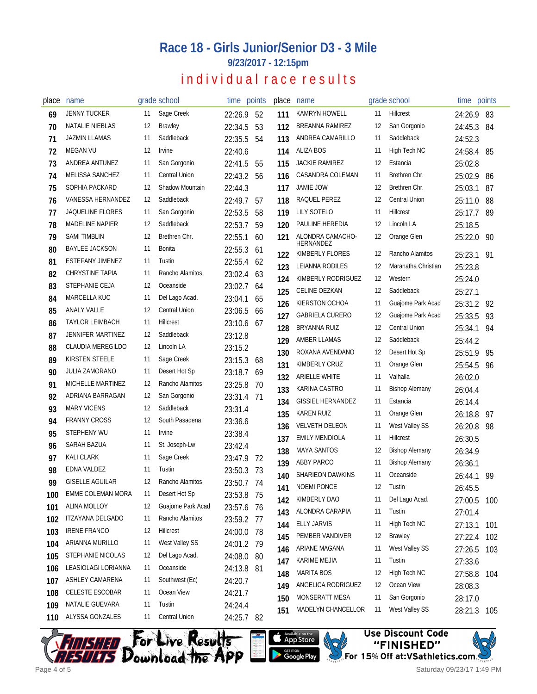# **Race 18 - Girls Junior/Senior D3 - 3 Mile**

**9/23/2017 - 12:15pm**

# individual race results

| place | name                     |    | grade school           | time points |      | place | name                                           |          | grade school                       | time points |     |
|-------|--------------------------|----|------------------------|-------------|------|-------|------------------------------------------------|----------|------------------------------------|-------------|-----|
| 69    | <b>JENNY TUCKER</b>      | 11 | Sage Creek             | 22:26.9     | 52   | 111   | KAMRYN HOWELL                                  | 11       | Hillcrest                          | 24:26.9     | 83  |
| 70    | NATALIE NIEBLAS          | 12 | <b>Brawley</b>         | 22:34.5     | 53   | 112   | <b>BREANNA RAMIREZ</b>                         | 12       | San Gorgonio                       | 24:45.3     | 84  |
| 71    | <b>JAZMIN LLAMAS</b>     | 11 | Saddleback             | 22:35.5     | 54   | 113   | ANDREA CAMARILLO                               | 11       | Saddleback                         | 24:52.3     |     |
| 72    | <b>MEGAN VU</b>          | 12 | <b>Irvine</b>          | 22:40.6     |      | 114   | <b>ALIZA BOS</b>                               | 11       | High Tech NC                       | 24:58.4     | 85  |
| 73    | ANDREA ANTUNEZ           | 11 | San Gorgonio           | 22:41.5     | 55   | 115   | <b>JACKIE RAMIREZ</b>                          | 12       | Estancia                           | 25:02.8     |     |
| 74    | MELISSA SANCHEZ          | 11 | <b>Central Union</b>   | 22:43.2     | 56   | 116   | CASANDRA COLEMAN                               | 11       | Brethren Chr.                      | 25:02.9     | 86  |
| 75    | SOPHIA PACKARD           | 12 | <b>Shadow Mountain</b> | 22:44.3     |      | 117   | <b>JAMIE JOW</b>                               | 12       | Brethren Chr.                      | 25:03.1     | 87  |
| 76    | VANESSA HERNANDEZ        | 12 | Saddleback             | 22:49.7     | 57   | 118   | RAQUEL PEREZ                                   | 12       | <b>Central Union</b>               | 25:11.0     | 88  |
| 77    | <b>JAQUELINE FLORES</b>  | 11 | San Gorgonio           | 22:53.5     | 58   | 119   | LILY SOTELO                                    | 11       | <b>Hillcrest</b>                   | 25:17.7     | 89  |
| 78    | <b>MADELINE NAPIER</b>   | 12 | Saddleback             | 22:53.7     | 59   | 120   | PAULINE HEREDIA                                | 12       | Lincoln LA                         | 25:18.5     |     |
| 79    | <b>SAMI TIMBLIN</b>      | 12 | Brethren Chr.          | 22:55.1     | 60   | 121   | ALONDRA CAMACHO-                               | 12       | Orange Glen                        | 25:22.0     | 90  |
| 80    | <b>BAYLEE JACKSON</b>    | 11 | <b>Bonita</b>          | 22:55.3     | 61   |       | <b>HERNANDEZ</b><br>KIMBERLY FLORES            | 12       | Rancho Alamitos                    |             |     |
| 81    | ESTEFANY JIMENEZ         | 11 | Tustin                 | 22:55.4 62  |      | 122   | LEIANNA RODILES                                | 12       | Maranatha Christian                | 25:23.1     | 91  |
| 82    | <b>CHRYSTINE TAPIA</b>   | 11 | Rancho Alamitos        | 23:02.4     | 63   | 123   | KIMBERLY RODRIGUEZ                             | 12       | Western                            | 25:23.8     |     |
| 83    | STEPHANIE CEJA           | 12 | Oceanside              | 23:02.7     | 64   | 124   | CELINE OEZKAN                                  | 12       | Saddleback                         | 25:24.0     |     |
| 84    | MARCELLA KUC             | 11 | Del Lago Acad.         | 23:04.1     | 65   | 125   | KIERSTON OCHOA                                 | 11       | Guajome Park Acad                  | 25:27.1     |     |
| 85    | <b>ANALY VALLE</b>       | 12 | <b>Central Union</b>   | 23:06.5     | 66   | 126   | <b>GABRIELA CURERO</b>                         | 12       | Guajome Park Acad                  | 25:31.2     | 92  |
| 86    | <b>TAYLOR LEIMBACH</b>   | 11 | Hillcrest              | 23:10.6 67  |      | 127   | <b>BRYANNA RUIZ</b>                            | 12       | <b>Central Union</b>               | 25:33.5     | 93  |
| 87    | JENNIFER MARTINEZ        | 12 | Saddleback             | 23:12.8     |      | 128   | <b>AMBER LLAMAS</b>                            | 12       | Saddleback                         | 25:34.1     | 94  |
| 88    | <b>CLAUDIA MEREGILDO</b> | 12 | Lincoln LA             | 23:15.2     |      | 129   | ROXANA AVENDANO                                | 12       | Desert Hot Sp                      | 25:44.2     |     |
| 89    | <b>KIRSTEN STEELE</b>    | 11 | Sage Creek             | 23:15.3     | 68   | 130   | KIMBERLY CRUZ                                  | 11       |                                    | 25:51.9     | 95  |
| 90    | <b>JULIA ZAMORANO</b>    | 11 | Desert Hot Sp          | 23:18.7     | 69   | 131   | ARIELLE WHITE                                  | 11       | Orange Glen<br>Valhalla            | 25:54.5     | 96  |
| 91    | MICHELLE MARTINEZ        | 12 | Rancho Alamitos        | 23:25.8     | 70   | 132   | KARINA CASTRO                                  | 11       |                                    | 26:02.0     |     |
| 92    | ADRIANA BARRAGAN         | 12 | San Gorgonio           | 23:31.4     | - 71 | 133   | <b>GISSIEL HERNANDEZ</b>                       | 11       | <b>Bishop Alemany</b><br>Estancia  | 26:04.4     |     |
| 93    | <b>MARY VICENS</b>       | 12 | Saddleback             | 23:31.4     |      | 134   | <b>KAREN RUIZ</b>                              | 11       |                                    | 26:14.4     |     |
| 94    | <b>FRANNY CROSS</b>      | 12 | South Pasadena         | 23:36.6     |      | 135   |                                                |          | Orange Glen                        | 26:18.8     | 97  |
| 95    | <b>STEPHENY WU</b>       | 11 | Irvine                 | 23:38.4     |      | 136   | <b>VELVETH DELEON</b><br><b>EMILY MENDIOLA</b> | 11<br>11 | West Valley SS<br><b>Hillcrest</b> | 26:20.8     | 98  |
| 96    | SARAH BAZUA              | 11 | St. Joseph-Lw          | 23:42.4     |      | 137   | <b>MAYA SANTOS</b>                             | 12       | <b>Bishop Alemany</b>              | 26:30.5     |     |
| 97    | KALI CLARK               | 11 | Sage Creek             | 23:47.9     | 72   | 138   | <b>ABBY PARCO</b>                              | 11       |                                    | 26:34.9     |     |
| 98    | EDNA VALDEZ              | 11 | Tustin                 | 23:50.3     | 73   | 139   | <b>SHARIEON DAWKINS</b>                        | 11       | <b>Bishop Alemany</b><br>Oceanside | 26:36.1     |     |
| QQ    | <b>GISELLE AGUILAR</b>   | 12 | Rancho Alamitos        | 23:50.7     | 74   | 140   | <b>NOEMI PONCE</b>                             | 12       | Tustin                             | 26:44.1     | -99 |
| 100   | EMME COLEMAN MORA        | 11 | Desert Hot Sp          | 23:53.8 75  |      | 141   | KIMBERLY DAO                                   |          |                                    | 26:45.5     |     |
| 101   | ALINA MOLLOY             | 12 | Guajome Park Acad      | 23:57.6 76  |      | 142   | ALONDRA CARAPIA                                | 11       | Del Lago Acad.<br>Tustin           | 27:00.5     | 100 |
| 102   | ITZAYANA DELGADO         | 11 | Rancho Alamitos        | 23:59.2 77  |      | 143   |                                                | 11       | High Tech NC                       | 27:01.4     |     |
| 103   | <b>IRENE FRANCO</b>      | 12 | Hillcrest              | 24:00.0 78  |      | 144   | <b>ELLY JARVIS</b>                             | 11       |                                    | 27:13.1     | 101 |
| 104   | ARIANNA MURILLO          | 11 | West Valley SS         | 24:01.2 79  |      | 145   | PEMBER VANDIVER                                | 12       | Brawley                            | 27:22.4     | 102 |
| 105   | STEPHANIE NICOLAS        | 12 | Del Lago Acad.         | 24:08.0 80  |      | 146   | ARIANE MAGANA                                  | 11       | West Valley SS                     | 27:26.5     | 103 |
| 106   | LEASIOLAGI LORIANNA      | 11 | Oceanside              | 24:13.8 81  |      | 147   | KARIME MEJIA                                   | 11       | Tustin                             | 27:33.6     |     |
| 107   | ASHLEY CAMARENA          | 11 | Southwest (Ec)         | 24:20.7     |      | 148   | <b>MARITA BOS</b>                              | 12       | High Tech NC                       | 27:58.8     | 104 |
| 108   | CELESTE ESCOBAR          | 11 | Ocean View             | 24:21.7     |      | 149   | ANGELICA RODRIGUEZ                             | 12       | Ocean View                         | 28:08.3     |     |
| 109   | NATALIE GUEVARA          | 11 | Tustin                 | 24:24.4     |      | 150   | MONSERATT MESA                                 | 11       | San Gorgonio                       | 28:17.0     |     |
| 110   | ALYSSA GONZALES          | 11 | Central Union          | 24:25.7 82  |      | 151   | MADELYN CHANCELLOR                             | 11       | West Valley SS                     | 28:21.3     | 105 |